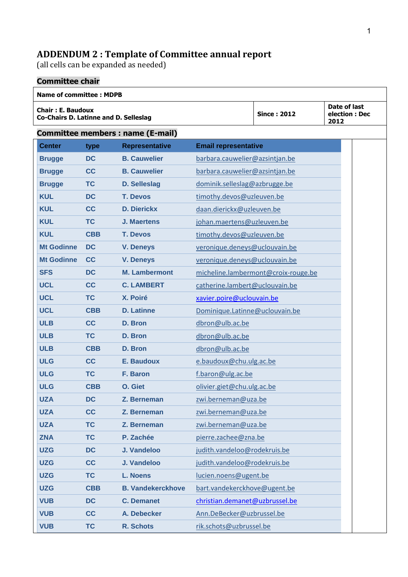## **ADDENDUM 2 : Template of Committee annual report**

(all cells can be expanded as needed)

## **Committee chair**

## **Name of committee : MDPB Chair : E. Baudoux Co-Chairs D. Latinne and D. Selleslag Since : 2012 Date of last election : Dec 2012 Committee members : name (E-mail) Center type Representative Email representative Brugge DC B. Cauwelier** barbara.cauwelier@azsintjan.be **Brugge CC B. Cauwelier** barbara.cauwelier@azsintjan.be **Brugge TC D. Selleslag** dominik.selleslag@azbrugge.be **KUL DC T. Devos** timothy.devos@uzleuven.be **KUL CC D. Dierickx** daan.dierickx@uzleuven.be **KUL TC J. Maertens** johan.maertens@uzleuven.be **KUL CBB T. Devos** timothy.devos@uzleuven.be **Mt Godinne DC V. Deneys** veronique.deneys@uclouvain.be **Mt Godinne CC V. Deneys** veronique.deneys@uclouvain.be **SFS DC M. Lambermont** micheline.lambermont@croix-rouge.be **UCL CC C. LAMBERT** catherine.lambert@uclouvain.be **UCL TC X. Poiré** [xavier.poire@uclouvain.be](mailto:xavier.poire@uclouvain.be) **UCL CBB D. Latinne** Dominique.Latinne@uclouvain.be **ULB CC D. Bron** dbron@ulb.ac.be **ULB TC D. Bron** dbron@ulb.ac.be **ULB CBB D. Bron** dbron@ulb.ac.be **ULG CC E. Baudoux** e.baudoux@chu.ulg.ac.be **ULG TC F. Baron** f.baron@ulg.ac.be **ULG CBB O. Giet** olivier.giet@chu.ulg.ac.be **UZA DC Z. Berneman** zwi.berneman@uza.be **UZA CC Z. Berneman** zwi.berneman@uza.be **UZA TC Z. Berneman** zwi.berneman@uza.be **ZNA TC P. Zachée pierre.zachee@zna.be UZG DC J. Vandeloo** judith.vandeloo@rodekruis.be **UZG CC J. Vandeloo** judith.vandeloo@rodekruis.be **UZG TC L. Noens** lucien.noens@ugent.be **UZG CBB B. Vandekerckhove** bart.vandekerckhove@ugent.be **VUB DC C. Demanet** [christian.demanet@uzbrussel.be](mailto:christian.demanet@uzbrussel.be) **VUB CC A. Debecker** Ann.DeBecker@uzbrussel.be **VUB TC R. Schots rik.schots@uzbrussel.be**